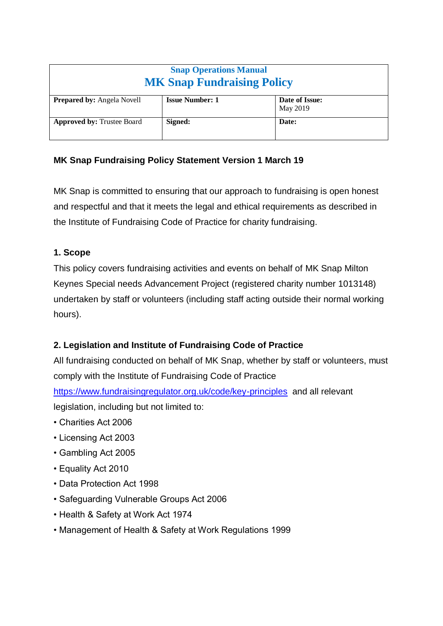| <b>Snap Operations Manual</b><br><b>MK Snap Fundraising Policy</b> |                        |                            |
|--------------------------------------------------------------------|------------------------|----------------------------|
| <b>Prepared by: Angela Novell</b>                                  | <b>Issue Number: 1</b> | Date of Issue:<br>May 2019 |
| <b>Approved by: Trustee Board</b>                                  | Signed:                | Date:                      |

# **MK Snap Fundraising Policy Statement Version 1 March 19**

MK Snap is committed to ensuring that our approach to fundraising is open honest and respectful and that it meets the legal and ethical requirements as described in the Institute of Fundraising Code of Practice for charity fundraising.

### **1. Scope**

This policy covers fundraising activities and events on behalf of MK Snap Milton Keynes Special needs Advancement Project (registered charity number 1013148) undertaken by staff or volunteers (including staff acting outside their normal working hours).

# **2. Legislation and Institute of Fundraising Code of Practice**

All fundraising conducted on behalf of MK Snap, whether by staff or volunteers, must comply with the Institute of Fundraising Code of Practice

<https://www.fundraisingregulator.org.uk/code/key-principles> and all relevant legislation, including but not limited to:

- Charities Act 2006
- Licensing Act 2003
- Gambling Act 2005
- Equality Act 2010
- Data Protection Act 1998
- Safeguarding Vulnerable Groups Act 2006
- Health & Safety at Work Act 1974
- Management of Health & Safety at Work Regulations 1999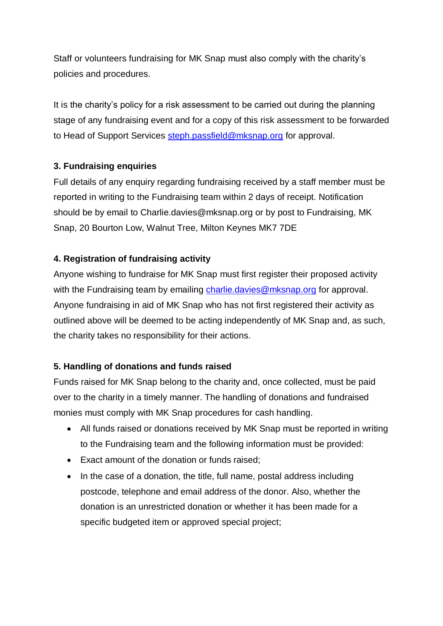Staff or volunteers fundraising for MK Snap must also comply with the charity's policies and procedures.

It is the charity's policy for a risk assessment to be carried out during the planning stage of any fundraising event and for a copy of this risk assessment to be forwarded to Head of Support Services [steph.passfield@mksnap.org](mailto:steph.passfield@mksnap.org) for approval.

### **3. Fundraising enquiries**

Full details of any enquiry regarding fundraising received by a staff member must be reported in writing to the Fundraising team within 2 days of receipt. Notification should be by email to Charlie.davies@mksnap.org or by post to Fundraising, MK Snap, 20 Bourton Low, Walnut Tree, Milton Keynes MK7 7DE

### **4. Registration of fundraising activity**

Anyone wishing to fundraise for MK Snap must first register their proposed activity with the Fundraising team by emailing [charlie.davies@mksnap.org](mailto:charlie.davies@mksnap.org) for approval. Anyone fundraising in aid of MK Snap who has not first registered their activity as outlined above will be deemed to be acting independently of MK Snap and, as such, the charity takes no responsibility for their actions.

# **5. Handling of donations and funds raised**

Funds raised for MK Snap belong to the charity and, once collected, must be paid over to the charity in a timely manner. The handling of donations and fundraised monies must comply with MK Snap procedures for cash handling.

- All funds raised or donations received by MK Snap must be reported in writing to the Fundraising team and the following information must be provided:
- Exact amount of the donation or funds raised;
- In the case of a donation, the title, full name, postal address including postcode, telephone and email address of the donor. Also, whether the donation is an unrestricted donation or whether it has been made for a specific budgeted item or approved special project;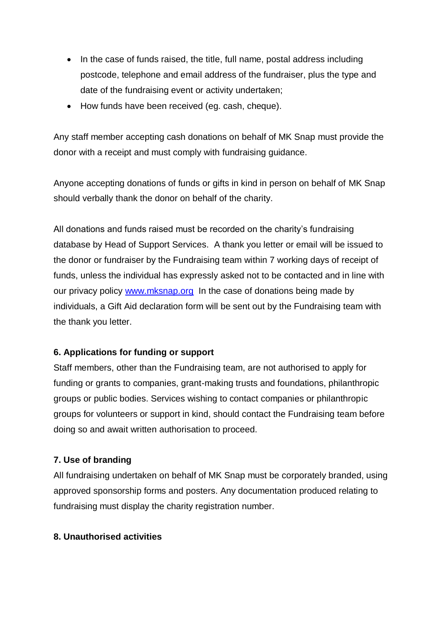- In the case of funds raised, the title, full name, postal address including postcode, telephone and email address of the fundraiser, plus the type and date of the fundraising event or activity undertaken;
- How funds have been received (eg. cash, cheque).

Any staff member accepting cash donations on behalf of MK Snap must provide the donor with a receipt and must comply with fundraising guidance.

Anyone accepting donations of funds or gifts in kind in person on behalf of MK Snap should verbally thank the donor on behalf of the charity.

All donations and funds raised must be recorded on the charity's fundraising database by Head of Support Services. A thank you letter or email will be issued to the donor or fundraiser by the Fundraising team within 7 working days of receipt of funds, unless the individual has expressly asked not to be contacted and in line with our privacy policy [www.mksnap.org](http://www.mksnap.org/) In the case of donations being made by individuals, a Gift Aid declaration form will be sent out by the Fundraising team with the thank you letter.

#### **6. Applications for funding or support**

Staff members, other than the Fundraising team, are not authorised to apply for funding or grants to companies, grant-making trusts and foundations, philanthropic groups or public bodies. Services wishing to contact companies or philanthropic groups for volunteers or support in kind, should contact the Fundraising team before doing so and await written authorisation to proceed.

#### **7. Use of branding**

All fundraising undertaken on behalf of MK Snap must be corporately branded, using approved sponsorship forms and posters. Any documentation produced relating to fundraising must display the charity registration number.

#### **8. Unauthorised activities**